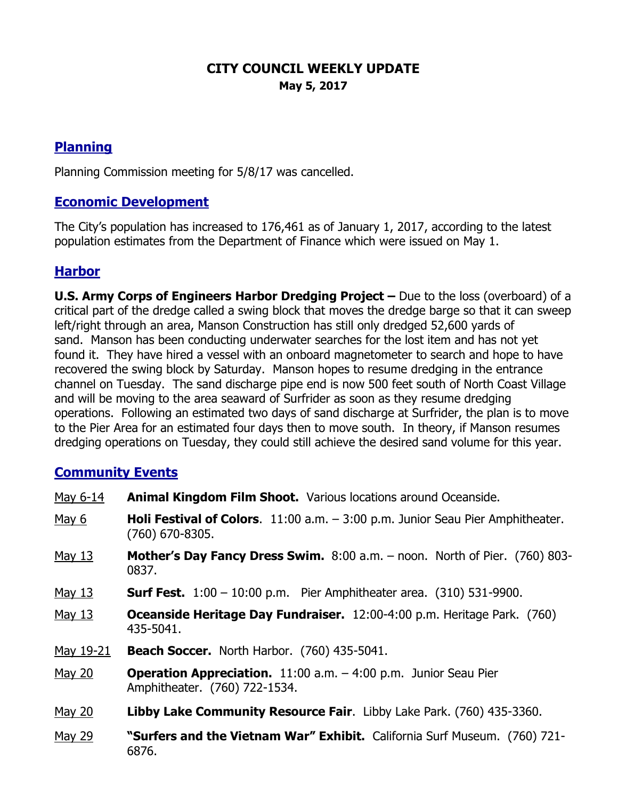### **CITY COUNCIL WEEKLY UPDATE May 5, 2017**

# **Planning**

Planning Commission meeting for 5/8/17 was cancelled.

### **Economic Development**

The City's population has increased to 176,461 as of January 1, 2017, according to the latest population estimates from the Department of Finance which were issued on May 1.

# **Harbor**

**U.S. Army Corps of Engineers Harbor Dredging Project –** Due to the loss (overboard) of a critical part of the dredge called a swing block that moves the dredge barge so that it can sweep left/right through an area, Manson Construction has still only dredged 52,600 yards of sand. Manson has been conducting underwater searches for the lost item and has not yet found it. They have hired a vessel with an onboard magnetometer to search and hope to have recovered the swing block by Saturday. Manson hopes to resume dredging in the entrance channel on Tuesday. The sand discharge pipe end is now 500 feet south of North Coast Village and will be moving to the area seaward of Surfrider as soon as they resume dredging operations. Following an estimated two days of sand discharge at Surfrider, the plan is to move to the Pier Area for an estimated four days then to move south. In theory, if Manson resumes dredging operations on Tuesday, they could still achieve the desired sand volume for this year.

#### **Community Events**

| May 6-14  | <b>Animal Kingdom Film Shoot.</b> Various locations around Oceanside.                                        |
|-----------|--------------------------------------------------------------------------------------------------------------|
| May 6     | <b>Holi Festival of Colors.</b> 11:00 a.m. $-$ 3:00 p.m. Junior Seau Pier Amphitheater.<br>$(760)$ 670-8305. |
| May 13    | <b>Mother's Day Fancy Dress Swim.</b> $8:00$ a.m. $-$ noon. North of Pier. (760) 803-<br>0837.               |
| May 13    | <b>Surf Fest.</b> $1:00 - 10:00$ p.m. Pier Amphitheater area. $(310)$ 531-9900.                              |
| May 13    | <b>Oceanside Heritage Day Fundraiser.</b> 12:00-4:00 p.m. Heritage Park. (760)<br>435-5041.                  |
| May 19-21 | <b>Beach Soccer.</b> North Harbor. (760) 435-5041.                                                           |
| May 20    | <b>Operation Appreciation.</b> 11:00 a.m. - 4:00 p.m. Junior Seau Pier<br>Amphitheater. (760) 722-1534.      |
| May 20    | <b>Libby Lake Community Resource Fair.</b> Libby Lake Park. (760) 435-3360.                                  |
| May 29    | "Surfers and the Vietnam War" Exhibit. California Surf Museum. (760) 721-<br>6876.                           |